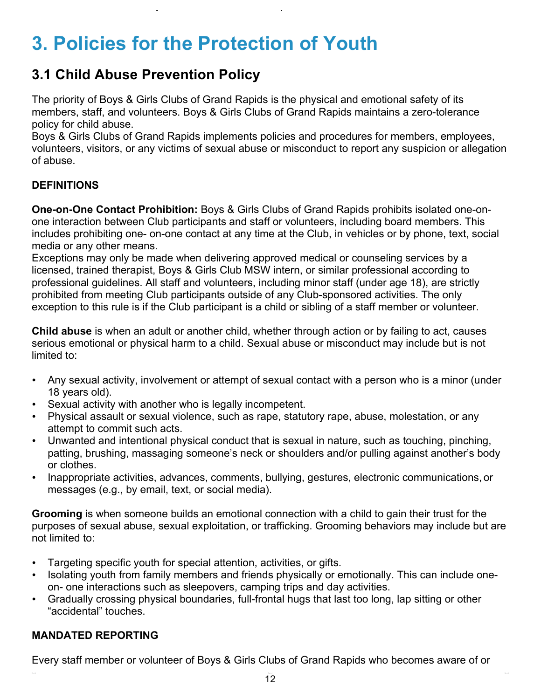# **3. Policies for the Protection of Youth**

# **3.1 Child Abuse Prevention Policy**

The priority of Boys & Girls Clubs of Grand Rapids is the physical and emotional safety of its members, staff, and volunteers. Boys & Girls Clubs of Grand Rapids maintains a zero-tolerance policy for child abuse.

Boys & Girls Clubs of Grand Rapids implements policies and procedures for members, employees, volunteers, visitors, or any victims of sexual abuse or misconduct to report any suspicion or allegation of abuse.

# **DEFINITIONS**

**One-on-One Contact Prohibition:** Boys & Girls Clubs of Grand Rapids prohibits isolated one-onone interaction between Club participants and staff or volunteers, including board members. This includes prohibiting one- on-one contact at any time at the Club, in vehicles or by phone, text, social media or any other means.

Exceptions may only be made when delivering approved medical or counseling services by a licensed, trained therapist, Boys & Girls Club MSW intern, or similar professional according to professional guidelines. All staff and volunteers, including minor staff (under age 18), are strictly prohibited from meeting Club participants outside of any Club-sponsored activities. The only exception to this rule is if the Club participant is a child or sibling of a staff member or volunteer.

**Child abuse** is when an adult or another child, whether through action or by failing to act, causes serious emotional or physical harm to a child. Sexual abuse or misconduct may include but is not limited to:

- Any sexual activity, involvement or attempt of sexual contact with a person who is a minor (under 18 years old).
- Sexual activity with another who is legally incompetent.
- Physical assault or sexual violence, such as rape, statutory rape, abuse, molestation, or any attempt to commit such acts.
- Unwanted and intentional physical conduct that is sexual in nature, such as touching, pinching, patting, brushing, massaging someone's neck or shoulders and/or pulling against another's body or clothes.
- Inappropriate activities, advances, comments, bullying, gestures, electronic communications, or messages (e.g., by email, text, or social media).

**Grooming** is when someone builds an emotional connection with a child to gain their trust for the purposes of sexual abuse, sexual exploitation, or trafficking. Grooming behaviors may include but are not limited to:

- Targeting specific youth for special attention, activities, or gifts.
- Isolating youth from family members and friends physically or emotionally. This can include oneon- one interactions such as sleepovers, camping trips and day activities.
- Gradually crossing physical boundaries, full-frontal hugs that last too long, lap sitting or other "accidental" touches.

# **MANDATED REPORTING**

Every staff member or volunteer of Boys & Girls Clubs of Grand Rapids who becomes aware of or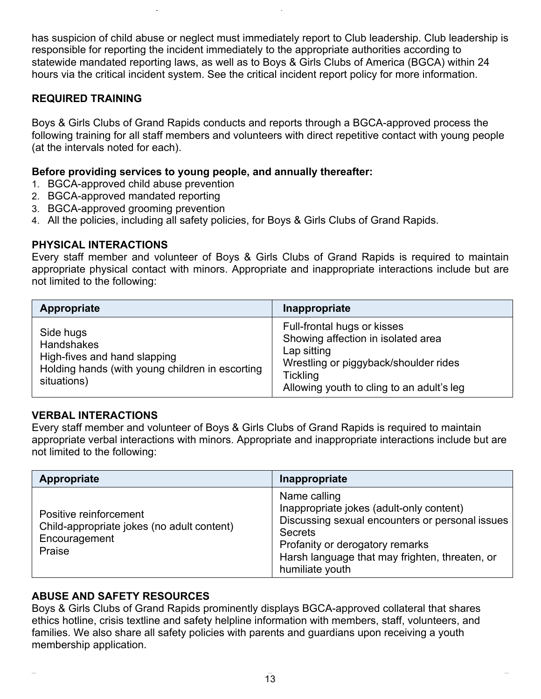has suspicion of child abuse or neglect must immediately report to Club leadership. Club leadership is responsible for reporting the incident immediately to the appropriate authorities according to statewide mandated reporting laws, as well as to Boys & Girls Clubs of America (BGCA) within 24 hours via the critical incident system. See the critical incident report policy for more information.

### **REQUIRED TRAINING**

Boys & Girls Clubs of Grand Rapids conducts and reports through a BGCA-approved process the following training for all staff members and volunteers with direct repetitive contact with young people (at the intervals noted for each).

#### **Before providing services to young people, and annually thereafter:**

- 1. BGCA-approved child abuse prevention
- 2. BGCA-approved mandated reporting
- 3. BGCA-approved grooming prevention
- 4. All the policies, including all safety policies, for Boys & Girls Clubs of Grand Rapids.

#### **PHYSICAL INTERACTIONS**

Every staff member and volunteer of Boys & Girls Clubs of Grand Rapids is required to maintain appropriate physical contact with minors. Appropriate and inappropriate interactions include but are not limited to the following:

| Appropriate                                                                                                                      | Inappropriate                                                                                                                                                                             |
|----------------------------------------------------------------------------------------------------------------------------------|-------------------------------------------------------------------------------------------------------------------------------------------------------------------------------------------|
| Side hugs<br><b>Handshakes</b><br>High-fives and hand slapping<br>Holding hands (with young children in escorting<br>situations) | Full-frontal hugs or kisses<br>Showing affection in isolated area<br>Lap sitting<br>Wrestling or piggyback/shoulder rides<br><b>Tickling</b><br>Allowing youth to cling to an adult's leg |

#### **VERBAL INTERACTIONS**

Every staff member and volunteer of Boys & Girls Clubs of Grand Rapids is required to maintain appropriate verbal interactions with minors. Appropriate and inappropriate interactions include but are not limited to the following:

| Appropriate                                                                                     | Inappropriate                                                                                                                                                                                                                         |
|-------------------------------------------------------------------------------------------------|---------------------------------------------------------------------------------------------------------------------------------------------------------------------------------------------------------------------------------------|
| Positive reinforcement<br>Child-appropriate jokes (no adult content)<br>Encouragement<br>Praise | Name calling<br>Inappropriate jokes (adult-only content)<br>Discussing sexual encounters or personal issues<br><b>Secrets</b><br>Profanity or derogatory remarks<br>Harsh language that may frighten, threaten, or<br>humiliate youth |

### **ABUSE AND SAFETY RESOURCES**

Boys & Girls Clubs of Grand Rapids prominently displays BGCA-approved collateral that shares ethics hotline, crisis textline and safety helpline information with members, staff, volunteers, and families. We also share all safety policies with parents and guardians upon receiving a youth membership application.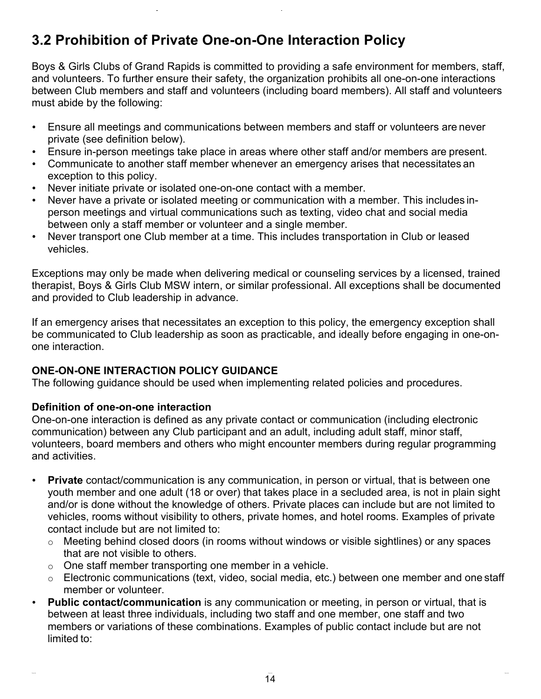# **3.2 Prohibition of Private One-on-One Interaction Policy**

Boys & Girls Clubs of Grand Rapids is committed to providing a safe environment for members, staff, and volunteers. To further ensure their safety, the organization prohibits all one-on-one interactions between Club members and staff and volunteers (including board members). All staff and volunteers must abide by the following:

- Ensure all meetings and communications between members and staff or volunteers are never private (see definition below).
- Ensure in-person meetings take place in areas where other staff and/or members are present.
- Communicate to another staff member whenever an emergency arises that necessitates an exception to this policy.
- Never initiate private or isolated one-on-one contact with a member.
- Never have a private or isolated meeting or communication with a member. This includes inperson meetings and virtual communications such as texting, video chat and social media between only a staff member or volunteer and a single member.
- Never transport one Club member at a time. This includes transportation in Club or leased vehicles.

Exceptions may only be made when delivering medical or counseling services by a licensed, trained therapist, Boys & Girls Club MSW intern, or similar professional. All exceptions shall be documented and provided to Club leadership in advance.

If an emergency arises that necessitates an exception to this policy, the emergency exception shall be communicated to Club leadership as soon as practicable, and ideally before engaging in one-onone interaction.

# **ONE-ON-ONE INTERACTION POLICY GUIDANCE**

The following guidance should be used when implementing related policies and procedures.

### **Definition of one-on-one interaction**

One-on-one interaction is defined as any private contact or communication (including electronic communication) between any Club participant and an adult, including adult staff, minor staff, volunteers, board members and others who might encounter members during regular programming and activities.

- **Private** contact/communication is any communication, in person or virtual, that is between one youth member and one adult (18 or over) that takes place in a secluded area, is not in plain sight and/or is done without the knowledge of others. Private places can include but are not limited to vehicles, rooms without visibility to others, private homes, and hotel rooms. Examples of private contact include but are not limited to:
	- $\circ$  Meeting behind closed doors (in rooms without windows or visible sightlines) or any spaces that are not visible to others.
	- o One staff member transporting one member in a vehicle.
	- o Electronic communications (text, video, social media, etc.) between one member and one staff member or volunteer.
- **Public contact/communication** is any communication or meeting, in person or virtual, that is between at least three individuals, including two staff and one member, one staff and two members or variations of these combinations. Examples of public contact include but are not limited to: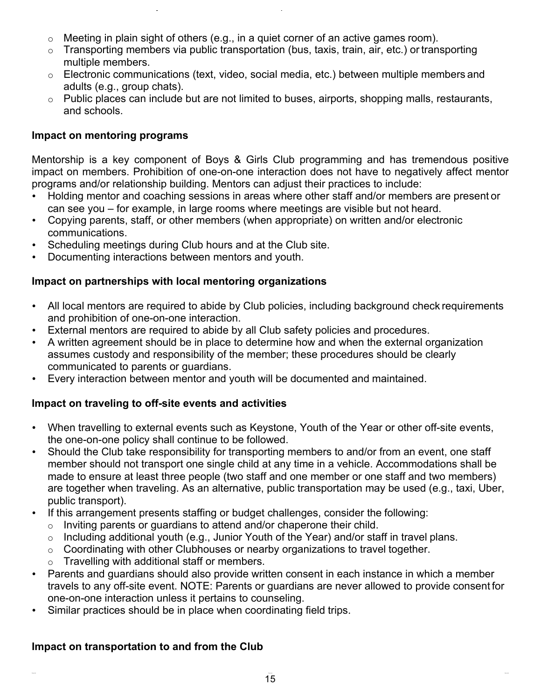- $\circ$  Meeting in plain sight of others (e.g., in a quiet corner of an active games room).
- $\circ$  Transporting members via public transportation (bus, taxis, train, air, etc.) or transporting multiple members.
- o Electronic communications (text, video, social media, etc.) between multiple members and adults (e.g., group chats).
- $\circ$  Public places can include but are not limited to buses, airports, shopping malls, restaurants, and schools.

#### **Impact on mentoring programs**

Mentorship is a key component of Boys & Girls Club programming and has tremendous positive impact on members. Prohibition of one-on-one interaction does not have to negatively affect mentor programs and/or relationship building. Mentors can adjust their practices to include:

- Holding mentor and coaching sessions in areas where other staff and/or members are present or can see you – for example, in large rooms where meetings are visible but not heard.
- Copying parents, staff, or other members (when appropriate) on written and/or electronic communications.
- Scheduling meetings during Club hours and at the Club site.
- Documenting interactions between mentors and youth.

### **Impact on partnerships with local mentoring organizations**

- All local mentors are required to abide by Club policies, including background check requirements and prohibition of one-on-one interaction.
- External mentors are required to abide by all Club safety policies and procedures.
- A written agreement should be in place to determine how and when the external organization assumes custody and responsibility of the member; these procedures should be clearly communicated to parents or guardians.
- Every interaction between mentor and youth will be documented and maintained.

# **Impact on traveling to off-site events and activities**

- When travelling to external events such as Keystone, Youth of the Year or other off-site events, the one-on-one policy shall continue to be followed.
- Should the Club take responsibility for transporting members to and/or from an event, one staff member should not transport one single child at any time in a vehicle. Accommodations shall be made to ensure at least three people (two staff and one member or one staff and two members) are together when traveling. As an alternative, public transportation may be used (e.g., taxi, Uber, public transport).
- If this arrangement presents staffing or budget challenges, consider the following:
	- o Inviting parents or guardians to attend and/or chaperone their child.
	- o Including additional youth (e.g., Junior Youth of the Year) and/or staff in travel plans.
	- $\circ$  Coordinating with other Clubhouses or nearby organizations to travel together.
	- o Travelling with additional staff or members.
- Parents and guardians should also provide written consent in each instance in which a member travels to any off-site event. NOTE: Parents or guardians are never allowed to provide consent for one-on-one interaction unless it pertains to counseling.
- Similar practices should be in place when coordinating field trips.

### **Impact on transportation to and from the Club**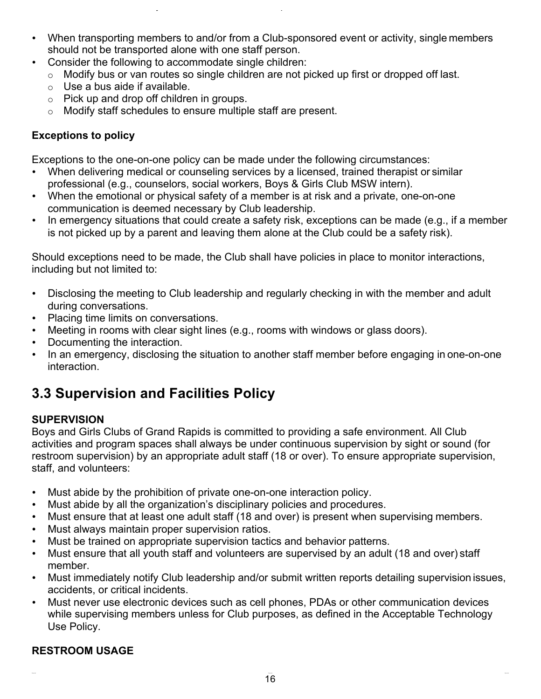- When transporting members to and/or from a Club-sponsored event or activity, single members should not be transported alone with one staff person.
- Consider the following to accommodate single children:
	- o Modify bus or van routes so single children are not picked up first or dropped off last.
	- $\circ$  Use a bus aide if available.
	- o Pick up and drop off children in groups.
	- o Modify staff schedules to ensure multiple staff are present.

# **Exceptions to policy**

Exceptions to the one-on-one policy can be made under the following circumstances:

- When delivering medical or counseling services by a licensed, trained therapist or similar professional (e.g., counselors, social workers, Boys & Girls Club MSW intern).
- When the emotional or physical safety of a member is at risk and a private, one-on-one communication is deemed necessary by Club leadership.
- In emergency situations that could create a safety risk, exceptions can be made (e.g., if a member is not picked up by a parent and leaving them alone at the Club could be a safety risk).

Should exceptions need to be made, the Club shall have policies in place to monitor interactions, including but not limited to:

- Disclosing the meeting to Club leadership and regularly checking in with the member and adult during conversations.
- Placing time limits on conversations.
- Meeting in rooms with clear sight lines (e.g., rooms with windows or glass doors).
- Documenting the interaction.
- In an emergency, disclosing the situation to another staff member before engaging in one-on-one interaction.

# **3.3 Supervision and Facilities Policy**

### **SUPERVISION**

Boys and Girls Clubs of Grand Rapids is committed to providing a safe environment. All Club activities and program spaces shall always be under continuous supervision by sight or sound (for restroom supervision) by an appropriate adult staff (18 or over). To ensure appropriate supervision, staff, and volunteers:

- Must abide by the prohibition of private one-on-one interaction policy.
- Must abide by all the organization's disciplinary policies and procedures.
- Must ensure that at least one adult staff (18 and over) is present when supervising members.
- Must always maintain proper supervision ratios.
- Must be trained on appropriate supervision tactics and behavior patterns.
- Must ensure that all youth staff and volunteers are supervised by an adult (18 and over) staff member.
- Must immediately notify Club leadership and/or submit written reports detailing supervision issues, accidents, or critical incidents.
- Must never use electronic devices such as cell phones, PDAs or other communication devices while supervising members unless for Club purposes, as defined in the Acceptable Technology Use Policy.

# **RESTROOM USAGE**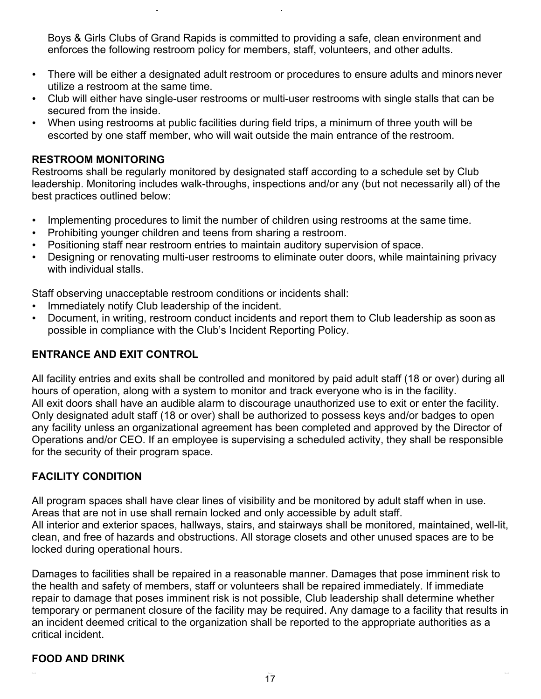Boys & Girls Clubs of Grand Rapids is committed to providing a safe, clean environment and enforces the following restroom policy for members, staff, volunteers, and other adults.

- There will be either a designated adult restroom or procedures to ensure adults and minors never utilize a restroom at the same time.
- Club will either have single-user restrooms or multi-user restrooms with single stalls that can be secured from the inside.
- When using restrooms at public facilities during field trips, a minimum of three youth will be escorted by one staff member, who will wait outside the main entrance of the restroom.

#### **RESTROOM MONITORING**

Restrooms shall be regularly monitored by designated staff according to a schedule set by Club leadership. Monitoring includes walk-throughs, inspections and/or any (but not necessarily all) of the best practices outlined below:

- Implementing procedures to limit the number of children using restrooms at the same time.
- Prohibiting younger children and teens from sharing a restroom.
- Positioning staff near restroom entries to maintain auditory supervision of space.
- Designing or renovating multi-user restrooms to eliminate outer doors, while maintaining privacy with individual stalls.

Staff observing unacceptable restroom conditions or incidents shall:

- Immediately notify Club leadership of the incident.
- Document, in writing, restroom conduct incidents and report them to Club leadership as soon as possible in compliance with the Club's Incident Reporting Policy.

### **ENTRANCE AND EXIT CONTROL**

All facility entries and exits shall be controlled and monitored by paid adult staff (18 or over) during all hours of operation, along with a system to monitor and track everyone who is in the facility. All exit doors shall have an audible alarm to discourage unauthorized use to exit or enter the facility. Only designated adult staff (18 or over) shall be authorized to possess keys and/or badges to open any facility unless an organizational agreement has been completed and approved by the Director of Operations and/or CEO. If an employee is supervising a scheduled activity, they shall be responsible for the security of their program space.

### **FACILITY CONDITION**

All program spaces shall have clear lines of visibility and be monitored by adult staff when in use. Areas that are not in use shall remain locked and only accessible by adult staff. All interior and exterior spaces, hallways, stairs, and stairways shall be monitored, maintained, well-lit, clean, and free of hazards and obstructions. All storage closets and other unused spaces are to be locked during operational hours.

Damages to facilities shall be repaired in a reasonable manner. Damages that pose imminent risk to the health and safety of members, staff or volunteers shall be repaired immediately. If immediate repair to damage that poses imminent risk is not possible, Club leadership shall determine whether temporary or permanent closure of the facility may be required. Any damage to a facility that results in an incident deemed critical to the organization shall be reported to the appropriate authorities as a critical incident.

### **FOOD AND DRINK**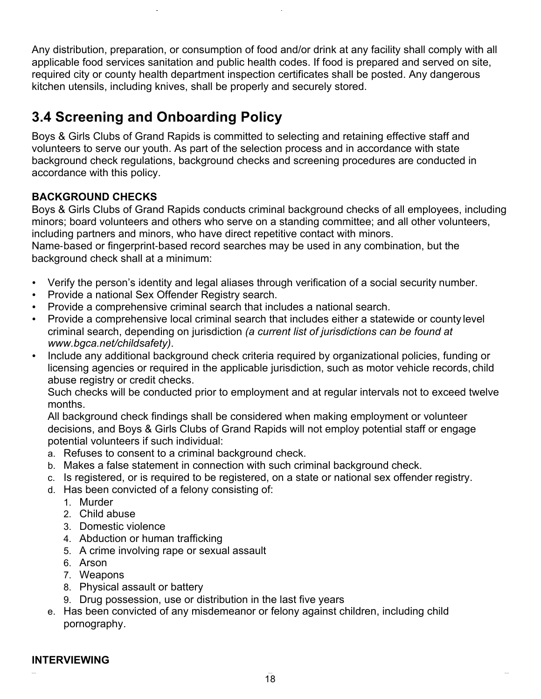Any distribution, preparation, or consumption of food and/or drink at any facility shall comply with all applicable food services sanitation and public health codes. If food is prepared and served on site, required city or county health department inspection certificates shall be posted. Any dangerous kitchen utensils, including knives, shall be properly and securely stored.

# **3.4 Screening and Onboarding Policy**

Boys & Girls Clubs of Grand Rapids is committed to selecting and retaining effective staff and volunteers to serve our youth. As part of the selection process and in accordance with state background check regulations, background checks and screening procedures are conducted in accordance with this policy.

# **BACKGROUND CHECKS**

Boys & Girls Clubs of Grand Rapids conducts criminal background checks of all employees, including minors; board volunteers and others who serve on a standing committee; and all other volunteers, including partners and minors, who have direct repetitive contact with minors.

Name-based or fingerprint-based record searches may be used in any combination, but the background check shall at a minimum:

- Verify the person's identity and legal aliases through verification of a social security number.
- Provide a national Sex Offender Registry search.
- Provide a comprehensive criminal search that includes a national search.
- Provide a comprehensive local criminal search that includes either a statewide or county level criminal search, depending on jurisdiction *(a current list of jurisdictions can be found at www.bgca.net/childsafety)*.
- Include any additional background check criteria required by organizational policies, funding or licensing agencies or required in the applicable jurisdiction, such as motor vehicle records, child abuse registry or credit checks.

Such checks will be conducted prior to employment and at regular intervals not to exceed twelve months.

All background check findings shall be considered when making employment or volunteer decisions, and Boys & Girls Clubs of Grand Rapids will not employ potential staff or engage potential volunteers if such individual:

- a. Refuses to consent to a criminal background check.
- b. Makes a false statement in connection with such criminal background check.
- c. Is registered, or is required to be registered, on a state or national sex offender registry.
- d. Has been convicted of a felony consisting of:
	- 1. Murder
	- 2. Child abuse
	- 3. Domestic violence
	- 4. Abduction or human trafficking
	- 5. A crime involving rape or sexual assault
	- 6. Arson
	- 7. Weapons
	- 8. Physical assault or battery
	- 9. Drug possession, use or distribution in the last five years
- e. Has been convicted of any misdemeanor or felony against children, including child pornography.

#### **INTERVIEWING**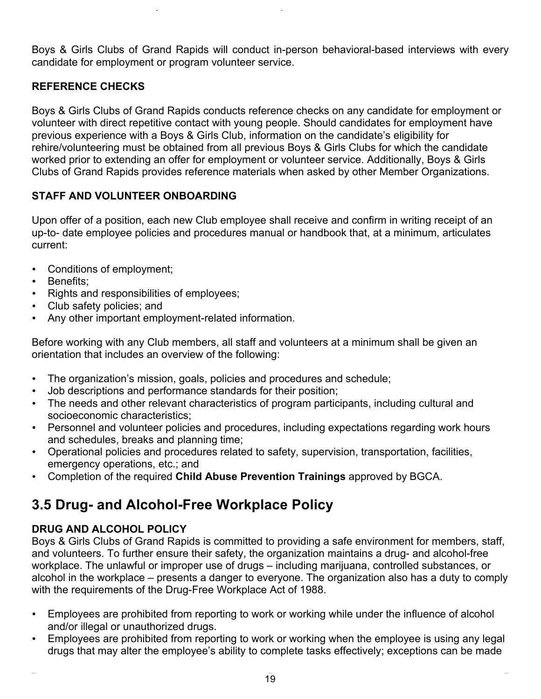Boys & Girls Clubs of Grand Rapids will conduct in-person behavioral-based interviews with every candidate for employment or program volunteer service.

# **REFERENCE CHECKS**

Boys & Girls Clubs of Grand Rapids conducts reference checks on any candidate for employment or volunteer with direct repetitive contact with young people. Should candidates for employment have previous experience with a Boys & Girls Club, information on the candidate's eligibility for rehire/volunteering must be obtained from all previous Boys & Girls Clubs for which the candidate worked prior to extending an offer for employment or volunteer service. Additionally, Boys & Girls Clubs of Grand Rapids provides reference materials when asked by other Member Organizations.

### **STAFF AND VOLUNTEER ONBOARDING**

Upon offer of a position, each new Club employee shall receive and confirm in writing receipt of an up-to- date employee policies and procedures manual or handbook that, at a minimum, articulates current:

- Conditions of employment;
- Benefits;
- Rights and responsibilities of employees;
- Club safety policies; and
- Any other important employment-related information.

Before working with any Club members, all staff and volunteers at a minimum shall be given an orientation that includes an overview of the following:

- The organization's mission, goals, policies and procedures and schedule;
- Job descriptions and performance standards for their position;
- The needs and other relevant characteristics of program participants, including cultural and socioeconomic characteristics;
- Personnel and volunteer policies and procedures, including expectations regarding work hours and schedules, breaks and planning time;
- Operational policies and procedures related to safety, supervision, transportation, facilities, emergency operations, etc.; and
- Completion of the required **Child Abuse Prevention Trainings** approved by BGCA.

# **3.5 Drug- and Alcohol-Free Workplace Policy**

# **DRUG AND ALCOHOL POLICY**

Boys & Girls Clubs of Grand Rapids is committed to providing a safe environment for members, staff, and volunteers. To further ensure their safety, the organization maintains a drug- and alcohol-free workplace. The unlawful or improper use of drugs – including marijuana, controlled substances, or alcohol in the workplace – presents a danger to everyone. The organization also has a duty to comply with the requirements of the Drug-Free Workplace Act of 1988.

- Employees are prohibited from reporting to work or working while under the influence of alcohol and/or illegal or unauthorized drugs.
- Employees are prohibited from reporting to work or working when the employee is using any legal drugs that may alter the employee's ability to complete tasks effectively; exceptions can be made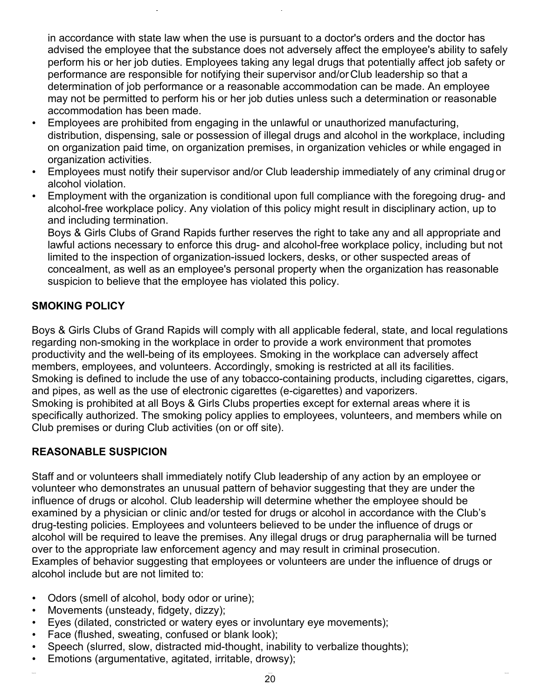in accordance with state law when the use is pursuant to a doctor's orders and the doctor has advised the employee that the substance does not adversely affect the employee's ability to safely perform his or her job duties. Employees taking any legal drugs that potentially affect job safety or performance are responsible for notifying their supervisor and/or Club leadership so that a determination of job performance or a reasonable accommodation can be made. An employee may not be permitted to perform his or her job duties unless such a determination or reasonable accommodation has been made.

- Employees are prohibited from engaging in the unlawful or unauthorized manufacturing, distribution, dispensing, sale or possession of illegal drugs and alcohol in the workplace, including on organization paid time, on organization premises, in organization vehicles or while engaged in organization activities.
- Employees must notify their supervisor and/or Club leadership immediately of any criminal drug or alcohol violation.
- Employment with the organization is conditional upon full compliance with the foregoing drug- and alcohol-free workplace policy. Any violation of this policy might result in disciplinary action, up to and including termination.

Boys & Girls Clubs of Grand Rapids further reserves the right to take any and all appropriate and lawful actions necessary to enforce this drug- and alcohol-free workplace policy, including but not limited to the inspection of organization-issued lockers, desks, or other suspected areas of concealment, as well as an employee's personal property when the organization has reasonable suspicion to believe that the employee has violated this policy.

### **SMOKING POLICY**

Boys & Girls Clubs of Grand Rapids will comply with all applicable federal, state, and local regulations regarding non-smoking in the workplace in order to provide a work environment that promotes productivity and the well-being of its employees. Smoking in the workplace can adversely affect members, employees, and volunteers. Accordingly, smoking is restricted at all its facilities. Smoking is defined to include the use of any tobacco-containing products, including cigarettes, cigars, and pipes, as well as the use of electronic cigarettes (e-cigarettes) and vaporizers. Smoking is prohibited at all Boys & Girls Clubs properties except for external areas where it is specifically authorized. The smoking policy applies to employees, volunteers, and members while on Club premises or during Club activities (on or off site).

### **REASONABLE SUSPICION**

Staff and or volunteers shall immediately notify Club leadership of any action by an employee or volunteer who demonstrates an unusual pattern of behavior suggesting that they are under the influence of drugs or alcohol. Club leadership will determine whether the employee should be examined by a physician or clinic and/or tested for drugs or alcohol in accordance with the Club's drug-testing policies. Employees and volunteers believed to be under the influence of drugs or alcohol will be required to leave the premises. Any illegal drugs or drug paraphernalia will be turned over to the appropriate law enforcement agency and may result in criminal prosecution. Examples of behavior suggesting that employees or volunteers are under the influence of drugs or alcohol include but are not limited to:

- Odors (smell of alcohol, body odor or urine);
- Movements (unsteady, fidgety, dizzy);
- Eyes (dilated, constricted or watery eyes or involuntary eye movements);
- Face (flushed, sweating, confused or blank look);
- Speech (slurred, slow, distracted mid-thought, inability to verbalize thoughts);
- Emotions (argumentative, agitated, irritable, drowsy);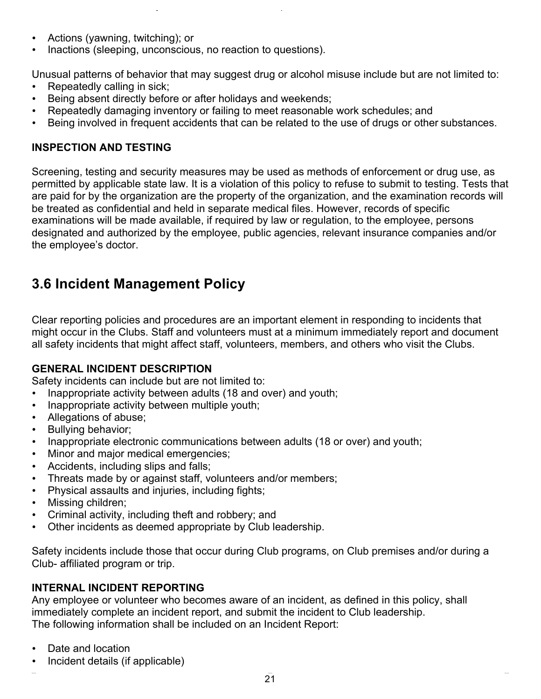- Actions (yawning, twitching); or
- Inactions (sleeping, unconscious, no reaction to questions).

Unusual patterns of behavior that may suggest drug or alcohol misuse include but are not limited to:

- Repeatedly calling in sick;
- Being absent directly before or after holidays and weekends;
- Repeatedly damaging inventory or failing to meet reasonable work schedules; and
- Being involved in frequent accidents that can be related to the use of drugs or other substances.

# **INSPECTION AND TESTING**

Screening, testing and security measures may be used as methods of enforcement or drug use, as permitted by applicable state law. It is a violation of this policy to refuse to submit to testing. Tests that are paid for by the organization are the property of the organization, and the examination records will be treated as confidential and held in separate medical files. However, records of specific examinations will be made available, if required by law or regulation, to the employee, persons designated and authorized by the employee, public agencies, relevant insurance companies and/or the employee's doctor.

# **3.6 Incident Management Policy**

Clear reporting policies and procedures are an important element in responding to incidents that might occur in the Clubs. Staff and volunteers must at a minimum immediately report and document all safety incidents that might affect staff, volunteers, members, and others who visit the Clubs.

### **GENERAL INCIDENT DESCRIPTION**

Safety incidents can include but are not limited to:

- Inappropriate activity between adults (18 and over) and youth;
- Inappropriate activity between multiple youth;
- Allegations of abuse;
- Bullying behavior;
- Inappropriate electronic communications between adults (18 or over) and youth;
- Minor and major medical emergencies;
- Accidents, including slips and falls;
- Threats made by or against staff, volunteers and/or members;
- Physical assaults and injuries, including fights;
- Missing children;
- Criminal activity, including theft and robbery; and
- Other incidents as deemed appropriate by Club leadership.

Safety incidents include those that occur during Club programs, on Club premises and/or during a Club- affiliated program or trip.

### **INTERNAL INCIDENT REPORTING**

Any employee or volunteer who becomes aware of an incident, as defined in this policy, shall immediately complete an incident report, and submit the incident to Club leadership. The following information shall be included on an Incident Report:

- Date and location
- Incident details (if applicable)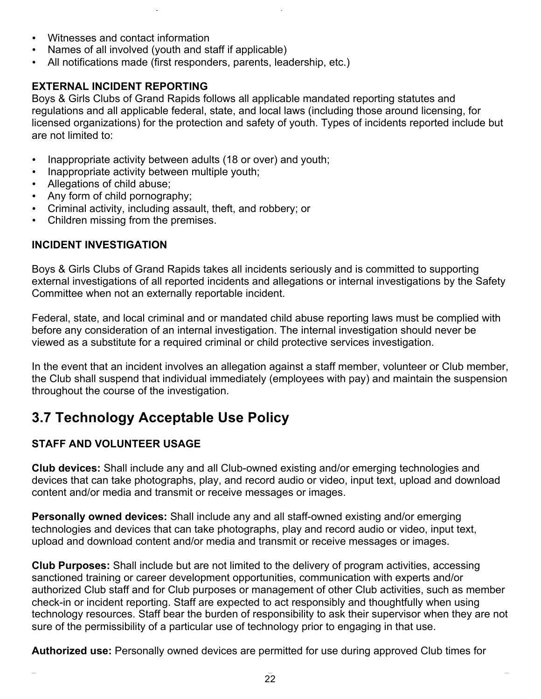- Witnesses and contact information
- Names of all involved (youth and staff if applicable)
- All notifications made (first responders, parents, leadership, etc.)

### **EXTERNAL INCIDENT REPORTING**

Boys & Girls Clubs of Grand Rapids follows all applicable mandated reporting statutes and regulations and all applicable federal, state, and local laws (including those around licensing, for licensed organizations) for the protection and safety of youth. Types of incidents reported include but are not limited to:

- Inappropriate activity between adults (18 or over) and youth;
- Inappropriate activity between multiple youth;
- Allegations of child abuse;
- Any form of child pornography;
- Criminal activity, including assault, theft, and robbery; or
- Children missing from the premises.

### **INCIDENT INVESTIGATION**

Boys & Girls Clubs of Grand Rapids takes all incidents seriously and is committed to supporting external investigations of all reported incidents and allegations or internal investigations by the Safety Committee when not an externally reportable incident.

Federal, state, and local criminal and or mandated child abuse reporting laws must be complied with before any consideration of an internal investigation. The internal investigation should never be viewed as a substitute for a required criminal or child protective services investigation.

In the event that an incident involves an allegation against a staff member, volunteer or Club member, the Club shall suspend that individual immediately (employees with pay) and maintain the suspension throughout the course of the investigation.

# **3.7 Technology Acceptable Use Policy**

# **STAFF AND VOLUNTEER USAGE**

**Club devices:** Shall include any and all Club-owned existing and/or emerging technologies and devices that can take photographs, play, and record audio or video, input text, upload and download content and/or media and transmit or receive messages or images.

**Personally owned devices:** Shall include any and all staff-owned existing and/or emerging technologies and devices that can take photographs, play and record audio or video, input text, upload and download content and/or media and transmit or receive messages or images.

**Club Purposes:** Shall include but are not limited to the delivery of program activities, accessing sanctioned training or career development opportunities, communication with experts and/or authorized Club staff and for Club purposes or management of other Club activities, such as member check-in or incident reporting. Staff are expected to act responsibly and thoughtfully when using technology resources. Staff bear the burden of responsibility to ask their supervisor when they are not sure of the permissibility of a particular use of technology prior to engaging in that use.

**Authorized use:** Personally owned devices are permitted for use during approved Club times for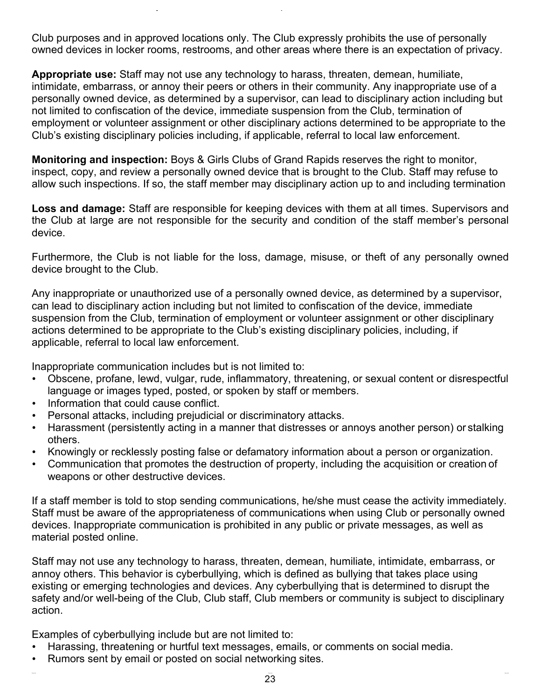Club purposes and in approved locations only. The Club expressly prohibits the use of personally owned devices in locker rooms, restrooms, and other areas where there is an expectation of privacy.

**Appropriate use:** Staff may not use any technology to harass, threaten, demean, humiliate, intimidate, embarrass, or annoy their peers or others in their community. Any inappropriate use of a personally owned device, as determined by a supervisor, can lead to disciplinary action including but not limited to confiscation of the device, immediate suspension from the Club, termination of employment or volunteer assignment or other disciplinary actions determined to be appropriate to the Club's existing disciplinary policies including, if applicable, referral to local law enforcement.

**Monitoring and inspection:** Boys & Girls Clubs of Grand Rapids reserves the right to monitor, inspect, copy, and review a personally owned device that is brought to the Club. Staff may refuse to allow such inspections. If so, the staff member may disciplinary action up to and including termination

**Loss and damage:** Staff are responsible for keeping devices with them at all times. Supervisors and the Club at large are not responsible for the security and condition of the staff member's personal device.

Furthermore, the Club is not liable for the loss, damage, misuse, or theft of any personally owned device brought to the Club.

Any inappropriate or unauthorized use of a personally owned device, as determined by a supervisor, can lead to disciplinary action including but not limited to confiscation of the device, immediate suspension from the Club, termination of employment or volunteer assignment or other disciplinary actions determined to be appropriate to the Club's existing disciplinary policies, including, if applicable, referral to local law enforcement.

Inappropriate communication includes but is not limited to:

- Obscene, profane, lewd, vulgar, rude, inflammatory, threatening, or sexual content or disrespectful language or images typed, posted, or spoken by staff or members.
- Information that could cause conflict.
- Personal attacks, including prejudicial or discriminatory attacks.
- Harassment (persistently acting in a manner that distresses or annoys another person) or stalking others.
- Knowingly or recklessly posting false or defamatory information about a person or organization.
- Communication that promotes the destruction of property, including the acquisition or creation of weapons or other destructive devices.

If a staff member is told to stop sending communications, he/she must cease the activity immediately. Staff must be aware of the appropriateness of communications when using Club or personally owned devices. Inappropriate communication is prohibited in any public or private messages, as well as material posted online.

Staff may not use any technology to harass, threaten, demean, humiliate, intimidate, embarrass, or annoy others. This behavior is cyberbullying, which is defined as bullying that takes place using existing or emerging technologies and devices. Any cyberbullying that is determined to disrupt the safety and/or well-being of the Club, Club staff, Club members or community is subject to disciplinary action.

Examples of cyberbullying include but are not limited to:

- Harassing, threatening or hurtful text messages, emails, or comments on social media.
- Rumors sent by email or posted on social networking sites.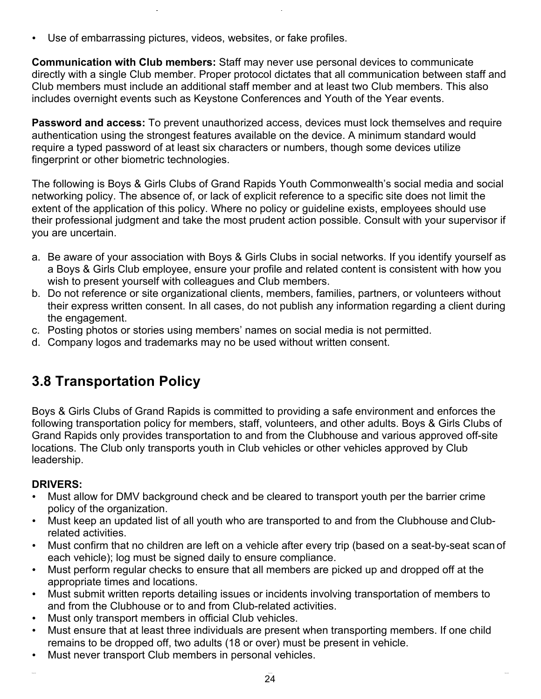Use of embarrassing pictures, videos, websites, or fake profiles.

**Communication with Club members:** Staff may never use personal devices to communicate directly with a single Club member. Proper protocol dictates that all communication between staff and Club members must include an additional staff member and at least two Club members. This also includes overnight events such as Keystone Conferences and Youth of the Year events.

**Password and access:** To prevent unauthorized access, devices must lock themselves and require authentication using the strongest features available on the device. A minimum standard would require a typed password of at least six characters or numbers, though some devices utilize fingerprint or other biometric technologies.

The following is Boys & Girls Clubs of Grand Rapids Youth Commonwealth's social media and social networking policy. The absence of, or lack of explicit reference to a specific site does not limit the extent of the application of this policy. Where no policy or guideline exists, employees should use their professional judgment and take the most prudent action possible. Consult with your supervisor if you are uncertain.

- a. Be aware of your association with Boys & Girls Clubs in social networks. If you identify yourself as a Boys & Girls Club employee, ensure your profile and related content is consistent with how you wish to present yourself with colleagues and Club members.
- b. Do not reference or site organizational clients, members, families, partners, or volunteers without their express written consent. In all cases, do not publish any information regarding a client during the engagement.
- c. Posting photos or stories using members' names on social media is not permitted.
- d. Company logos and trademarks may no be used without written consent.

# **3.8 Transportation Policy**

Boys & Girls Clubs of Grand Rapids is committed to providing a safe environment and enforces the following transportation policy for members, staff, volunteers, and other adults. Boys & Girls Clubs of Grand Rapids only provides transportation to and from the Clubhouse and various approved off-site locations. The Club only transports youth in Club vehicles or other vehicles approved by Club leadership.

# **DRIVERS:**

- Must allow for DMV background check and be cleared to transport youth per the barrier crime policy of the organization.
- Must keep an updated list of all youth who are transported to and from the Clubhouse and Clubrelated activities.
- Must confirm that no children are left on a vehicle after every trip (based on a seat-by-seat scan of each vehicle); log must be signed daily to ensure compliance.
- Must perform regular checks to ensure that all members are picked up and dropped off at the appropriate times and locations.
- Must submit written reports detailing issues or incidents involving transportation of members to and from the Clubhouse or to and from Club-related activities.
- Must only transport members in official Club vehicles.
- Must ensure that at least three individuals are present when transporting members. If one child remains to be dropped off, two adults (18 or over) must be present in vehicle.
- Must never transport Club members in personal vehicles.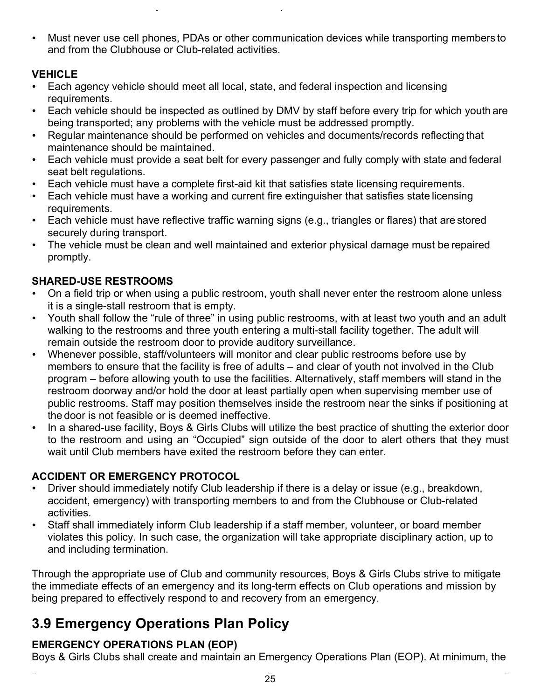• Must never use cell phones, PDAs or other communication devices while transporting members to and from the Clubhouse or Club-related activities.

# **VEHICLE**

- Each agency vehicle should meet all local, state, and federal inspection and licensing requirements.
- Each vehicle should be inspected as outlined by DMV by staff before every trip for which youth are being transported; any problems with the vehicle must be addressed promptly.
- Regular maintenance should be performed on vehicles and documents/records reflecting that maintenance should be maintained.
- Each vehicle must provide a seat belt for every passenger and fully comply with state and federal seat belt regulations.
- Each vehicle must have a complete first-aid kit that satisfies state licensing requirements.
- Each vehicle must have a working and current fire extinguisher that satisfies state licensing requirements.
- Each vehicle must have reflective traffic warning signs (e.g., triangles or flares) that are stored securely during transport.
- The vehicle must be clean and well maintained and exterior physical damage must be repaired promptly.

# **SHARED-USE RESTROOMS**

- On a field trip or when using a public restroom, youth shall never enter the restroom alone unless it is a single-stall restroom that is empty.
- Youth shall follow the "rule of three" in using public restrooms, with at least two youth and an adult walking to the restrooms and three youth entering a multi-stall facility together. The adult will remain outside the restroom door to provide auditory surveillance.
- Whenever possible, staff/volunteers will monitor and clear public restrooms before use by members to ensure that the facility is free of adults – and clear of youth not involved in the Club program – before allowing youth to use the facilities. Alternatively, staff members will stand in the restroom doorway and/or hold the door at least partially open when supervising member use of public restrooms. Staff may position themselves inside the restroom near the sinks if positioning at the door is not feasible or is deemed ineffective.
- In a shared-use facility, Boys & Girls Clubs will utilize the best practice of shutting the exterior door to the restroom and using an "Occupied" sign outside of the door to alert others that they must wait until Club members have exited the restroom before they can enter.

# **ACCIDENT OR EMERGENCY PROTOCOL**

- Driver should immediately notify Club leadership if there is a delay or issue (e.g., breakdown, accident, emergency) with transporting members to and from the Clubhouse or Club-related activities.
- Staff shall immediately inform Club leadership if a staff member, volunteer, or board member violates this policy. In such case, the organization will take appropriate disciplinary action, up to and including termination.

Through the appropriate use of Club and community resources, Boys & Girls Clubs strive to mitigate the immediate effects of an emergency and its long-term effects on Club operations and mission by being prepared to effectively respond to and recovery from an emergency.

# **3.9 Emergency Operations Plan Policy**

# **EMERGENCY OPERATIONS PLAN (EOP)**

Boys & Girls Clubs shall create and maintain an Emergency Operations Plan (EOP). At minimum, the